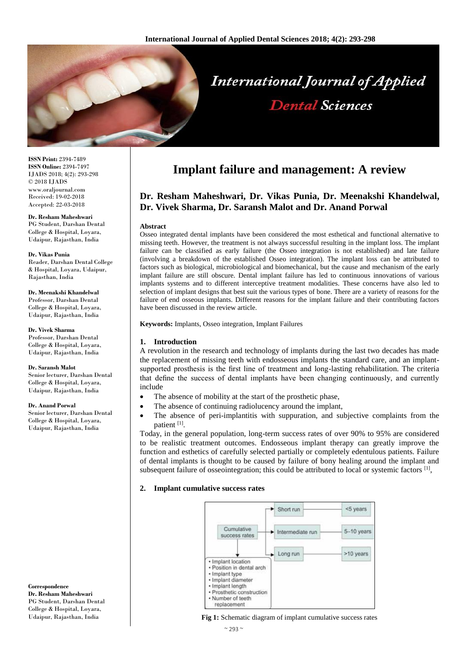

**ISSN Print:** 2394-7489 **ISSN Online:** 2394-7497 IJADS 2018; 4(2): 293-298 © 2018 IJADS www.oraljournal.com Received: 19-02-2018 Accepted: 22-03-2018

#### **Dr. Resham Maheshwari**

PG Student, Darshan Dental College & Hospital, Loyara, Udaipur, Rajasthan, India

#### **Dr. Vikas Punia**

Reader, Darshan Dental College & Hospital, Loyara, Udaipur, Rajasthan, India

**Dr. Meenakshi Khandelwal** Professor, Darshan Dental College & Hospital, Loyara, Udaipur, Rajasthan, India

**Dr. Vivek Sharma** Professor, Darshan Dental College & Hospital, Loyara, Udaipur, Rajasthan, India

#### **Dr. Saransh Malot**

Senior lecturer, Darshan Dental College & Hospital, Loyara, Udaipur, Rajasthan, India

#### **Dr. Anand Porwal**

Senior lecturer, Darshan Dental College & Hospital, Loyara, Udaipur, Rajasthan, India

**Correspondence Dr. Resham Maheshwari** PG Student, Darshan Dental College & Hospital, Loyara, Udaipur, Rajasthan, India

# **Implant failure and management: A review**

# **Dr. Resham Maheshwari, Dr. Vikas Punia, Dr. Meenakshi Khandelwal, Dr. Vivek Sharma, Dr. Saransh Malot and Dr. Anand Porwal**

#### **Abstract**

Osseo integrated dental implants have been considered the most esthetical and functional alternative to missing teeth. However, the treatment is not always successful resulting in the implant loss. The implant failure can be classified as early failure (the Osseo integration is not established) and late failure (involving a breakdown of the established Osseo integration). The implant loss can be attributed to factors such as biological, microbiological and biomechanical, but the cause and mechanism of the early implant failure are still obscure. Dental implant failure has led to continuous innovations of various implants systems and to different interceptive treatment modalities. These concerns have also led to selection of implant designs that best suit the various types of bone. There are a variety of reasons for the failure of end osseous implants. Different reasons for the implant failure and their contributing factors have been discussed in the review article.

**Keywords:** Implants, Osseo integration, Implant Failures

#### **1. Introduction**

A revolution in the research and technology of implants during the last two decades has made the replacement of missing teeth with endosseous implants the standard care, and an implantsupported prosthesis is the first line of treatment and long-lasting rehabilitation. The criteria that define the success of dental implants have been changing continuously, and currently include

- The absence of mobility at the start of the prosthetic phase,
- The absence of continuing radiolucency around the implant,
- The absence of peri-implantitis with suppuration, and subjective complaints from the patient [1].

Today, in the general population, long-term success rates of over 90% to 95% are considered to be realistic treatment outcomes. Endosseous implant therapy can greatly improve the function and esthetics of carefully selected partially or completely edentulous patients. Failure of dental implants is thought to be caused by failure of bony healing around the implant and subsequent failure of osseointegration; this could be attributed to local or systemic factors [1],

#### **2. Implant cumulative success rates**



**Fig 1:** Schematic diagram of implant cumulative success rates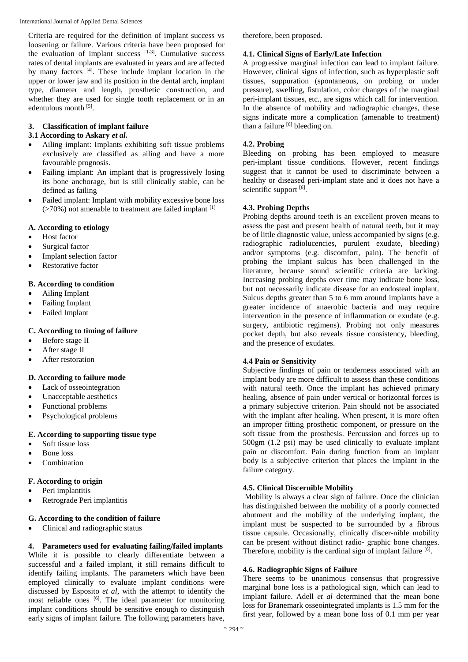International Journal of Applied Dental Sciences

Criteria are required for the definition of implant success vs loosening or failure. Various criteria have been proposed for the evaluation of implant success  $[1-3]$ . Cumulative success rates of dental implants are evaluated in years and are affected by many factors <sup>[4]</sup>. These include implant location in the upper or lower jaw and its position in the dental arch, implant type, diameter and length, prosthetic construction, and whether they are used for single tooth replacement or in an edentulous month [5].

# **3. Classification of implant failure**

# **3.1 According to Askary** *et al.*

- Ailing implant: Implants exhibiting soft tissue problems exclusively are classified as ailing and have a more favourable prognosis.
- Failing implant: An implant that is progressively losing its bone anchorage, but is still clinically stable, can be defined as failing
- Failed implant: Implant with mobility excessive bone loss  $($ >70%) not amenable to treatment are failed implant  $[1]$

# **A. According to etiology**

- Host factor
- Surgical factor
- Implant selection factor
- Restorative factor

# **B. According to condition**

- Ailing Implant
- Failing Implant
- Failed Implant

# **C. According to timing of failure**

- Before stage II
- After stage II
- After restoration

# **D. According to failure mode**

- Lack of osseointegration
- Unacceptable aesthetics
- Functional problems
- Psychological problems

# **E. According to supporting tissue type**

- Soft tissue loss
- Bone loss
- Combination

# **F. According to origin**

- Peri implantitis
- Retrograde Peri implantitis

# **G. According to the condition of failure**

Clinical and radiographic status

**4. Parameters used for evaluating failing/failed implants** While it is possible to clearly differentiate between a successful and a failed implant, it still remains difficult to identify failing implants. The parameters which have been employed clinically to evaluate implant conditions were discussed by Esposito *et al*, with the attempt to identify the most reliable ones <sup>[6]</sup>. The ideal parameter for monitoring implant conditions should be sensitive enough to distinguish early signs of implant failure. The following parameters have,

therefore, been proposed.

### **4.1. Clinical Signs of Early/Late Infection**

A progressive marginal infection can lead to implant failure. However, clinical signs of infection, such as hyperplastic soft tissues, suppuration (spontaneous, on probing or under pressure), swelling, fistulation, color changes of the marginal peri-implant tissues, etc., are signs which call for intervention. In the absence of mobility and radiographic changes, these signs indicate more a complication (amenable to treatment) than a failure  $[6]$  bleeding on.

# **4.2. Probing**

Bleeding on probing has been employed to measure peri-implant tissue conditions. However, recent findings suggest that it cannot be used to discriminate between a healthy or diseased peri-implant state and it does not have a scientific support [6].

# **4.3. Probing Depths**

Probing depths around teeth is an excellent proven means to assess the past and present health of natural teeth, but it may be of little diagnostic value, unless accompanied by signs (e.g. radiographic radiolucencies, purulent exudate, bleeding) and/or symptoms (e.g. discomfort, pain). The benefit of probing the implant sulcus has been challenged in the literature, because sound scientific criteria are lacking. Increasing probing depths over time may indicate bone loss, but not necessarily indicate disease for an endosteal implant. Sulcus depths greater than 5 to 6 mm around implants have a greater incidence of anaerobic bacteria and may require intervention in the presence of inflammation or exudate (e.g. surgery, antibiotic regimens). Probing not only measures pocket depth, but also reveals tissue consistency, bleeding, and the presence of exudates.

# **4.4 Pain or Sensitivity**

Subjective findings of pain or tenderness associated with an implant body are more difficult to assess than these conditions with natural teeth. Once the implant has achieved primary healing, absence of pain under vertical or horizontal forces is a primary subjective criterion. Pain should not be associated with the implant after healing. When present, it is more often an improper fitting prosthetic component, or pressure on the soft tissue from the prosthesis. Percussion and forces up to 500gm (1.2 psi) may be used clinically to evaluate implant pain or discomfort. Pain during function from an implant body is a subjective criterion that places the implant in the failure category.

# **4.5. Clinical Discernible Mobility**

Mobility is always a clear sign of failure. Once the clinician has distinguished between the mobility of a poorly connected abutment and the mobility of the underlying implant, the implant must be suspected to be surrounded by a fibrous tissue capsule. Occasionally, clinically discer-nible mobility can be present without distinct radio- graphic bone changes. Therefore, mobility is the cardinal sign of implant failure [6].

### **4.6. Radiographic Signs of Failure**

There seems to be unanimous consensus that progressive marginal bone loss is a pathological sign, which can lead to implant failure. Adell *et al* determined that the mean bone loss for Branemark osseointegrated implants is 1.5 mm for the first year, followed by a mean bone loss of 0.1 mm per year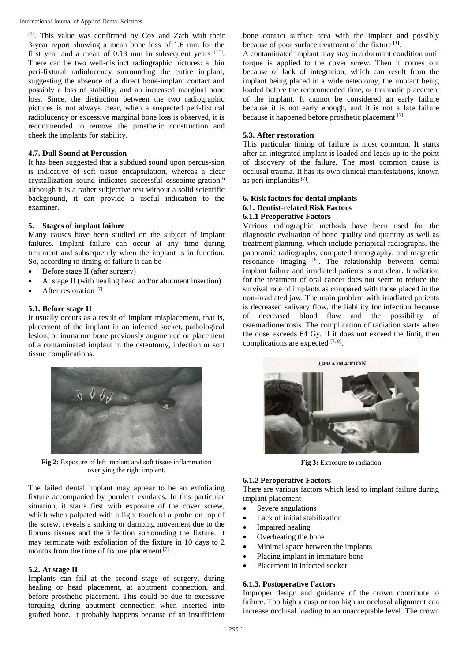International Journal of Applied Dental Sciences

[1]. This value was confirmed by Cox and Zarb with their 3-year report showing a mean bone loss of 1.6 mm for the first year and a mean of  $0.13$  mm in subsequent years  $[11]$ . There can be two well-distinct radiographic pictures: a thin peri-fixtural radiolucency surrounding the entire implant, suggesting the absence of a direct bone-implant contact and possibly a loss of stability, and an increased marginal bone loss. Since, the distinction between the two radiographic pictures is not always clear, when a suspected peri-fixtural radiolucency or excessive marginal bone loss is observed, it is recommended to remove the prosthetic construction and cheek the implants for stability.

### **4.7. Dull Sound at Percussion**

It has been suggested that a subdued sound upon percus-sion is indicative of soft tissue encapsulation, whereas a clear crystallization sound indicates successful osseointe-gration.<sup>6</sup> although it is a rather subjective test without a solid scientific background, it can provide a useful indication to the examiner.

# **5. Stages of implant failure**

Many causes have been studied on the subject of implant failures. Implant failure can occur at any time during treatment and subsequently when the implant is in function. So, according to timing of failure it can be

- Before stage II (after surgery)
- At stage II (with healing head and/or abutment insertion)
- After restoration [7]

# **5.1. Before stage II**

It usually occurs as a result of Implant misplacement, that is, placement of the implant in an infected socket, pathological lesion, or immature bone previously augmented or placement of a contaminated implant in the osteotomy, infection or soft tissue complications.



Fig 2: Exposure of left implant and soft tissue inflammation overlying the right implant.

The failed dental implant may appear to be an exfoliating fixture accompanied by purulent exudates. In this particular situation, it starts first with exposure of the cover screw, which when palpated with a light touch of a probe on top of the screw, reveals a sinking or damping movement due to the fibrous tissues and the infection surrounding the fixture. It may terminate with exfoliation of the fixture in 10 days to 2 months from the time of fixture placement [7].

### **5.2. At stage II**

Implants can fail at the second stage of surgery, during healing or head placement, at abutment connection, and before prosthetic placement. This could be due to excessive torquing during abutment connection when inserted into grafted bone. It probably happens because of an insufficient

bone contact surface area with the implant and possibly because of poor surface treatment of the fixture [1].

A contaminated implant may stay in a dormant condition until torque is applied to the cover screw. Then it comes out because of lack of integration, which can result from the implant being placed in a wide osteotomy, the implant being loaded before the recommended time, or traumatic placement of the implant. It cannot be considered an early failure because it is not early enough, and it is not a late failure because it happened before prosthetic placement [7].

# **5.3. After restoration**

This particular timing of failure is most common. It starts after an integrated implant is loaded and leads up to the point of discovery of the failure. The most common cause is occlusal trauma. It has its own clinical manifestations, known as peri implantitis [7].

#### **6. Risk factors for dental implants 6.1. Dentist-related Risk Factors 6.1.1 Preoperative Factors**

Various radiographic methods have been used for the diagnostic evaluation of bone quality and quantity as well as treatment planning, which include periapical radiographs, the panoramic radiographs, computed tomography, and magnetic resonance imaging [8]. The relationship between dental implant failure and irradiated patients is not clear. Irradiation for the treatment of oral cancer does not seem to reduce the survival rate of implants as compared with those placed in the non-irradiated jaw. The main problem with irradiated patients is decreased salivary flow, the liability for infection because of decreased blood flow and the possibility of osteoradionecrosis. The complication of radiation starts when the dose exceeds 64 Gy. If it does not exceed the limit, then complications are expected  $[7, 8]$ .



**Fig 3:** Exposure to radiation

# **6.1.2 Peroperative Factors**

There are various factors which lead to implant failure during implant placement

- Severe angulations
- Lack of initial stabilization
- Impaired healing
- Overheating the bone
- Minimal space between the implants
- Placing implant in immature bone
- Placement in infected socket

# **6.1.3. Postoperative Factors**

Improper design and guidance of the crown contribute to failure. Too high a cusp or too high an occlusal alignment can increase occlusal loading to an unacceptable level. The crown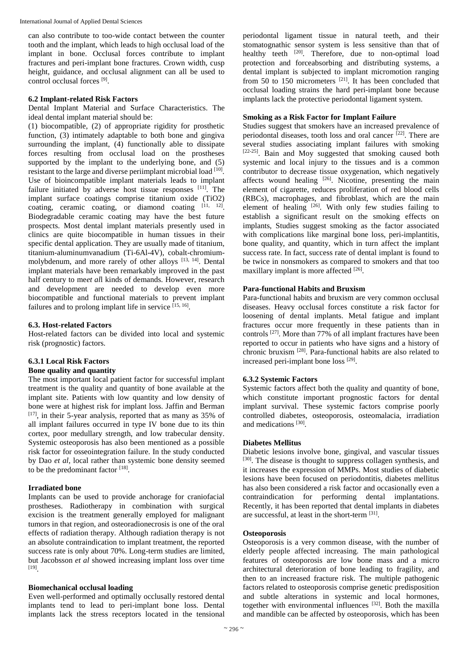International Journal of Applied Dental Sciences

can also contribute to too-wide contact between the counter tooth and the implant, which leads to high occlusal load of the implant in bone. Occlusal forces contribute to implant fractures and peri-implant bone fractures. Crown width, cusp height, guidance, and occlusal alignment can all be used to control occlusal forces [9].

#### **6.2 Implant-related Risk Factors**

Dental Implant Material and Surface Characteristics. The ideal dental implant material should be:

(1) biocompatible, (2) of appropriate rigidity for prosthetic function, (3) intimately adaptable to both bone and gingiva surrounding the implant, (4) functionally able to dissipate forces resulting from occlusal load on the prostheses supported by the implant to the underlying bone, and  $(5)$ resistant to the large and diverse periimplant microbial load [10]. Use of bioincompatible implant materials leads to implant failure initiated by adverse host tissue responses  $[11]$ . The implant surface coatings comprise titanium oxide (TiO2) coating, ceramic coating, or diamond coating  $[11, 12]$ . Biodegradable ceramic coating may have the best future prospects. Most dental implant materials presently used in clinics are quite biocompatible in human tissues in their specific dental application. They are usually made of titanium, titanium-aluminumvanadium (Ti-6Al-4V), cobalt-chromiummolybdenum, and more rarely of other alloys [13, 14]. Dental implant materials have been remarkably improved in the past half century to me*et al*l kinds of demands. However, research and development are needed to develop even more biocompatible and functional materials to prevent implant failures and to prolong implant life in service [15, 16].

### **6.3. Host-related Factors**

Host-related factors can be divided into local and systemic risk (prognostic) factors.

# **6.3.1 Local Risk Factors**

### **Bone quality and quantity**

The most important local patient factor for successful implant treatment is the quality and quantity of bone available at the implant site. Patients with low quantity and low density of bone were at highest risk for implant loss. Jaffin and Berman [17], in their 5-year analysis, reported that as many as 35% of all implant failures occurred in type IV bone due to its thin cortex, poor medullary strength, and low trabecular density. Systemic osteoporosis has also been mentioned as a possible risk factor for osseointegration failure. In the study conducted by Dao *et al*, local rather than systemic bone density seemed to be the predominant factor  $[18]$ .

### **Irradiated bone**

Implants can be used to provide anchorage for craniofacial prostheses. Radiotherapy in combination with surgical excision is the treatment generally employed for malignant tumors in that region, and osteoradionecrosis is one of the oral effects of radiation therapy. Although radiation therapy is not an absolute contraindication to implant treatment, the reported success rate is only about 70%. Long-term studies are limited, but Jacobsson *et al* showed increasing implant loss over time [19] .

### **Biomechanical occlusal loading**

Even well-performed and optimally occlusally restored dental implants tend to lead to peri-implant bone loss. Dental implants lack the stress receptors located in the tensional periodontal ligament tissue in natural teeth, and their stomatognathic sensor system is less sensitive than that of healthy teeth <sup>[20]</sup>. Therefore, due to non-optimal load protection and forceabsorbing and distributing systems, a dental implant is subjected to implant micromotion ranging from 50 to 150 micrometers  $[21]$ . It has been concluded that occlusal loading strains the hard peri-implant bone because implants lack the protective periodontal ligament system.

#### **Smoking as a Risk Factor for Implant Failure**

Studies suggest that smokers have an increased prevalence of periodontal diseases, tooth loss and oral cancer  $[22]$ . There are several studies associating implant failures with smoking [22-25]. Bain and Moy suggested that smoking caused both systemic and local injury to the tissues and is a common contributor to decrease tissue oxygenation, which negatively affects wound healing  $[26]$ . Nicotine, presenting the main element of cigarette, reduces proliferation of red blood cells (RBCs), macrophages, and fibroblast, which are the main element of healing  $[26]$ . With only few studies failing to establish a significant result on the smoking effects on implants, Studies suggest smoking as the factor associated with complications like marginal bone loss, peri-implantitis, bone quality, and quantity, which in turn affect the implant success rate. In fact, success rate of dental implant is found to be twice in nonsmokers as compared to smokers and that too maxillary implant is more affected [26].

### **Para-functional Habits and Bruxism**

Para-functional habits and bruxism are very common occlusal diseases. Heavy occlusal forces constitute a risk factor for loosening of dental implants. Metal fatigue and implant fractures occur more frequently in these patients than in controls [27]. More than 77% of all implant fractures have been reported to occur in patients who have signs and a history of chronic bruxism [28]. Para-functional habits are also related to increased peri-implant bone loss [29] .

### **6.3.2 Systemic Factors**

Systemic factors affect both the quality and quantity of bone, which constitute important prognostic factors for dental implant survival. These systemic factors comprise poorly controlled diabetes, osteoporosis, osteomalacia, irradiation and medications<sup>[30]</sup>.

### **Diabetes Mellitus**

Diabetic lesions involve bone, gingival, and vascular tissues [30]. The disease is thought to suppress collagen synthesis, and it increases the expression of MMPs. Most studies of diabetic lesions have been focused on periodontitis, diabetes mellitus has also been considered a risk factor and occasionally even a contraindication for performing dental implantations. Recently, it has been reported that dental implants in diabetes are successful, at least in the short-term [31].

#### **Osteoporosis**

Osteoporosis is a very common disease, with the number of elderly people affected increasing. The main pathological features of osteoporosis are low bone mass and a micro architectural deterioration of bone leading to fragility, and then to an increased fracture risk. The multiple pathogenic factors related to osteoporosis comprise genetic predisposition and subtle alterations in systemic and local hormones, together with environmental influences [32]. Both the maxilla and mandible can be affected by osteoporosis, which has been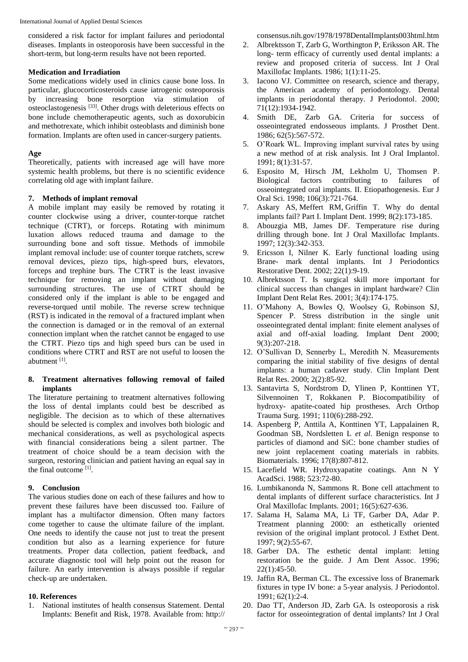considered a risk factor for implant failures and periodontal diseases. Implants in osteoporosis have been successful in the short-term, but long-term results have not been reported.

#### **Medication and Irradiation**

Some medications widely used in clinics cause bone loss. In particular, glucocorticosteroids cause iatrogenic osteoporosis by increasing bone resorption via stimulation of osteoclastogenesis [33]. Other drugs with deleterious effects on bone include chemotherapeutic agents, such as doxorubicin and methotrexate, which inhibit osteoblasts and diminish bone formation. Implants are often used in cancer-surgery patients.

### **Age**

Theoretically, patients with increased age will have more systemic health problems, but there is no scientific evidence correlating old age with implant failure.

#### **7. Methods of implant removal**

A mobile implant may easily be removed by rotating it counter clockwise using a driver, counter-torque ratchet technique (CTRT), or forceps. Rotating with minimum luxation allows reduced trauma and damage to the surrounding bone and soft tissue. Methods of immobile implant removal include: use of counter torque ratchets, screw removal devices, piezo tips, high-speed burs, elevators, forceps and trephine burs. The CTRT is the least invasive technique for removing an implant without damaging surrounding structures. The use of CTRT should be considered only if the implant is able to be engaged and reverse-torqued until mobile. The reverse screw technique (RST) is indicated in the removal of a fractured implant when the connection is damaged or in the removal of an external connection implant when the ratchet cannot be engaged to use the CTRT. Piezo tips and high speed burs can be used in conditions where CTRT and RST are not useful to loosen the abutment [1].

#### **8. Treatment alternatives following removal of failed implants**

The literature pertaining to treatment alternatives following the loss of dental implants could best be described as negligible. The decision as to which of these alternatives should be selected is complex and involves both biologic and mechanical considerations, as well as psychological aspects with financial considerations being a silent partner. The treatment of choice should be a team decision with the surgeon, restoring clinician and patient having an equal say in the final outcome [1] .

### **9. Conclusion**

The various studies done on each of these failures and how to prevent these failures have been discussed too. Failure of implant has a multifactor dimension. Often many factors come together to cause the ultimate failure of the implant. One needs to identify the cause not just to treat the present condition but also as a learning experience for future treatments. Proper data collection, patient feedback, and accurate diagnostic tool will help point out the reason for failure. An early intervention is always possible if regular check-up are undertaken.

#### **10. References**

1. National institutes of health consensus Statement. Dental Implants: Benefit and Risk, 1978. Available from: http:// consensus.nih.gov/1978/1978DentalImplants003html.htm

- 2. Albrektsson T, Zarb G, Worthington P, Eriksson AR. The long- term efficacy of currently used dental implants: a review and proposed criteria of success. Int J Oral Maxillofac Implants. 1986; 1(1):11-25.
- 3. Iacono VJ. Committee on research, science and therapy, the American academy of periodontology. Dental implants in periodontal therapy. J Periodontol. 2000; 71(12):1934-1942.
- 4. Smith DE, Zarb GA. Criteria for success of osseointegrated endosseous implants. J Prosthet Dent. 1986; 62(5):567-572.
- 5. O'Roark WL. Improving implant survival rates by using a new method of at risk analysis. Int J Oral Implantol. 1991; 8(1):31-57.
- 6. Esposito M, Hirsch JM, Lekholm U, Thomsen P. Biological factors contributing to failures of osseointegrated oral implants. II. Etiopathogenesis. Eur J Oral Sci. 1998; 106(3):721-764.
- 7. Askary AS, Meffert RM, Griffin T. Why do dental implants fail? Part I. Implant Dent. 1999; 8(2):173-185.
- 8. Abouzgia MB, James DF. Temperature rise during drilling through bone. Int J Oral Maxillofac Implants. 1997; 12(3):342-353.
- 9. Ericsson I, Nilner K. Early functional loading using Brane- mark dental implants. Int J Periodontics Restorative Dent. 2002; 22(1):9-19.
- 10. Albrektsson T. Is surgical skill more important for clinical success than changes in implant hardware? Clin Implant Dent Relat Res. 2001; 3(4):174-175.
- 11. O'Mahony A, Bowles Q, Woolsey G, Robinson SJ, Spencer P. Stress distribution in the single unit osseointegrated dental implant: finite element analyses of axial and off-axial loading. Implant Dent 2000; 9(3):207-218.
- 12. O'Sullivan D, Sennerby L, Meredith N. Measurements comparing the initial stability of five designs of dental implants: a human cadaver study. Clin Implant Dent Relat Res. 2000; 2(2):85-92.
- 13. Santavirta S, Nordstrom D, Ylinen P, Konttinen YT, Silvennoinen T, Rokkanen P. Biocompatibility of hydroxy- apatite-coated hip prostheses. Arch Orthop Trauma Surg. 1991; 110(6):288-292.
- 14. Aspenberg P, Anttila A, Konttinen YT, Lappalainen R, Goodman SB, Nordsletten L *et al*. Benign response to particles of diamond and SiC: bone chamber studies of new joint replacement coating materials in rabbits. Biomaterials. 1996; 17(8):807-812.
- 15. Lacefield WR. Hydroxyapatite coatings. Ann N Y AcadSci. 1988; 523:72-80.
- 16. Lumbikanonda N, Sammons R. Bone cell attachment to dental implants of different surface characteristics. Int J Oral Maxillofac Implants. 2001; 16(5):627-636.
- 17. Salama H, Salama MA, Li TF, Garber DA, Adar P. Treatment planning 2000: an esthetically oriented revision of the original implant protocol. J Esthet Dent. 1997; 9(2):55-67.
- 18. Garber DA. The esthetic dental implant: letting restoration be the guide. J Am Dent Assoc. 1996; 22(1):45-50.
- 19. Jaffin RA, Berman CL. The excessive loss of Branemark fixtures in type IV bone: a 5-year analysis. J Periodontol. 1991; 62(1):2-4.
- 20. Dao TT, Anderson JD, Zarb GA. Is osteoporosis a risk factor for osseointegration of dental implants? Int J Oral